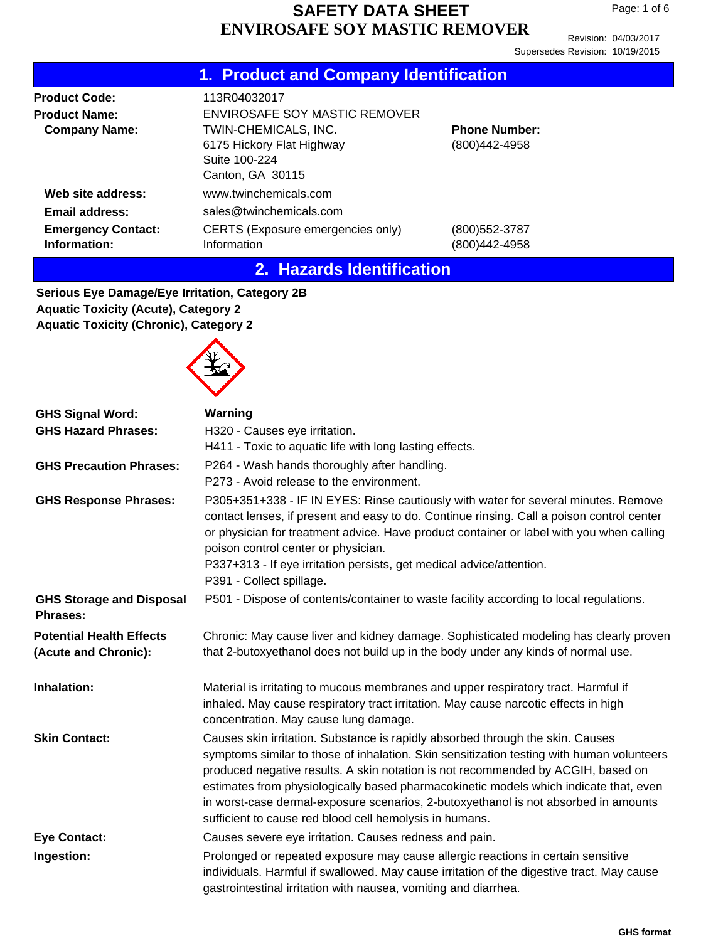Revision: 04/03/2017 Supersedes Revision: 10/19/2015

|                                                                                  | 1. Product and Company Identification                                                                                                   |                                       |
|----------------------------------------------------------------------------------|-----------------------------------------------------------------------------------------------------------------------------------------|---------------------------------------|
| <b>Product Code:</b><br><b>Product Name:</b><br><b>Company Name:</b>             | 113R04032017<br>ENVIROSAFE SOY MASTIC REMOVER<br>TWIN-CHEMICALS, INC.<br>6175 Hickory Flat Highway<br>Suite 100-224<br>Canton, GA 30115 | <b>Phone Number:</b><br>(800)442-4958 |
| Web site address:<br>Email address:<br><b>Emergency Contact:</b><br>Information: | www.twinchemicals.com<br>sales@twinchemicals.com<br>CERTS (Exposure emergencies only)<br>Information                                    | (800) 552-3787<br>(800)442-4958       |

#### **2. Hazards Identification**

**Serious Eye Damage/Eye Irritation, Category 2B Aquatic Toxicity (Acute), Category 2 Aquatic Toxicity (Chronic), Category 2**



| <b>GHS Signal Word:</b><br><b>GHS Hazard Phrases:</b>   | Warning<br>H320 - Causes eye irritation.<br>H411 - Toxic to aquatic life with long lasting effects.                                                                                                                                                                                                                                                                                                                                                                                                        |
|---------------------------------------------------------|------------------------------------------------------------------------------------------------------------------------------------------------------------------------------------------------------------------------------------------------------------------------------------------------------------------------------------------------------------------------------------------------------------------------------------------------------------------------------------------------------------|
| <b>GHS Precaution Phrases:</b>                          | P264 - Wash hands thoroughly after handling.<br>P273 - Avoid release to the environment.                                                                                                                                                                                                                                                                                                                                                                                                                   |
| <b>GHS Response Phrases:</b>                            | P305+351+338 - IF IN EYES: Rinse cautiously with water for several minutes. Remove<br>contact lenses, if present and easy to do. Continue rinsing. Call a poison control center<br>or physician for treatment advice. Have product container or label with you when calling<br>poison control center or physician.<br>P337+313 - If eye irritation persists, get medical advice/attention.<br>P391 - Collect spillage.                                                                                     |
| <b>GHS Storage and Disposal</b><br><b>Phrases:</b>      | P501 - Dispose of contents/container to waste facility according to local regulations.                                                                                                                                                                                                                                                                                                                                                                                                                     |
| <b>Potential Health Effects</b><br>(Acute and Chronic): | Chronic: May cause liver and kidney damage. Sophisticated modeling has clearly proven<br>that 2-butoxyethanol does not build up in the body under any kinds of normal use.                                                                                                                                                                                                                                                                                                                                 |
| Inhalation:                                             | Material is irritating to mucous membranes and upper respiratory tract. Harmful if<br>inhaled. May cause respiratory tract irritation. May cause narcotic effects in high<br>concentration. May cause lung damage.                                                                                                                                                                                                                                                                                         |
| <b>Skin Contact:</b>                                    | Causes skin irritation. Substance is rapidly absorbed through the skin. Causes<br>symptoms similar to those of inhalation. Skin sensitization testing with human volunteers<br>produced negative results. A skin notation is not recommended by ACGIH, based on<br>estimates from physiologically based pharmacokinetic models which indicate that, even<br>in worst-case dermal-exposure scenarios, 2-butoxyethanol is not absorbed in amounts<br>sufficient to cause red blood cell hemolysis in humans. |
| <b>Eye Contact:</b>                                     | Causes severe eye irritation. Causes redness and pain.                                                                                                                                                                                                                                                                                                                                                                                                                                                     |
| Ingestion:                                              | Prolonged or repeated exposure may cause allergic reactions in certain sensitive<br>individuals. Harmful if swallowed. May cause irritation of the digestive tract. May cause<br>gastrointestinal irritation with nausea, vomiting and diarrhea.                                                                                                                                                                                                                                                           |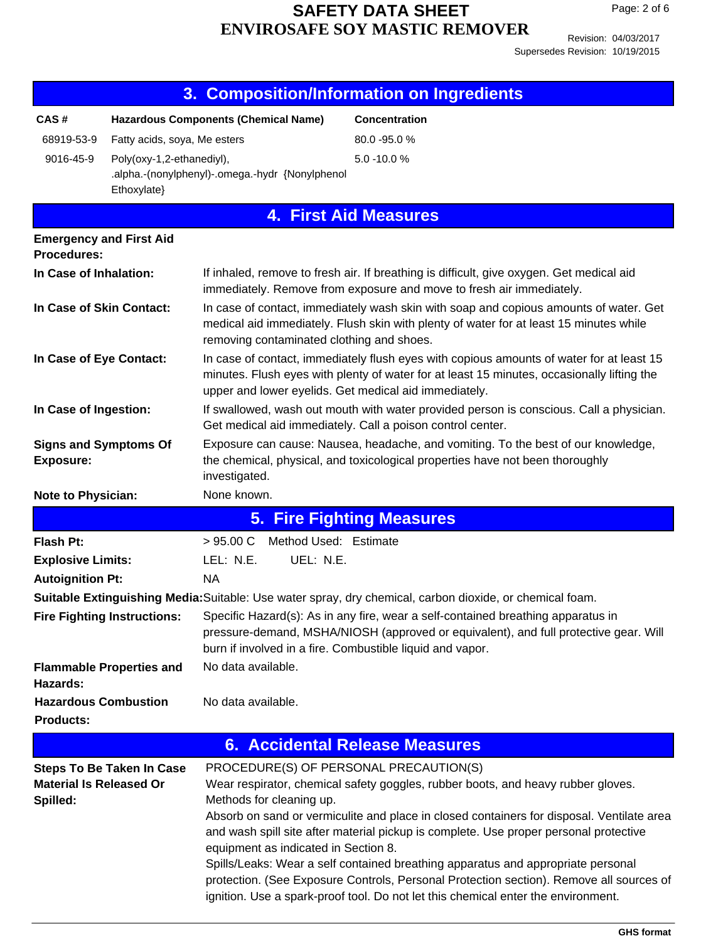Page: 2 of 6

|                                                  | 3.                                                                           | <b>Composition/Information on Ingredients</b>                                                                                                                                                                                |                              |                                                                                                                                                                                                                                                                  |  |  |  |
|--------------------------------------------------|------------------------------------------------------------------------------|------------------------------------------------------------------------------------------------------------------------------------------------------------------------------------------------------------------------------|------------------------------|------------------------------------------------------------------------------------------------------------------------------------------------------------------------------------------------------------------------------------------------------------------|--|--|--|
| CAS#                                             | <b>Hazardous Components (Chemical Name)</b>                                  |                                                                                                                                                                                                                              | <b>Concentration</b>         |                                                                                                                                                                                                                                                                  |  |  |  |
| 68919-53-9                                       | Fatty acids, soya, Me esters                                                 |                                                                                                                                                                                                                              | 80.0 - 95.0 %                |                                                                                                                                                                                                                                                                  |  |  |  |
| 9016-45-9                                        | Poly(oxy-1,2-ethanediyl),<br>.alpha.-(nonylphenyl)-.omega.-hydr {Nonylphenol |                                                                                                                                                                                                                              | 5.0 -10.0 %                  |                                                                                                                                                                                                                                                                  |  |  |  |
|                                                  | Ethoxylate}                                                                  |                                                                                                                                                                                                                              |                              |                                                                                                                                                                                                                                                                  |  |  |  |
|                                                  |                                                                              |                                                                                                                                                                                                                              | <b>4. First Aid Measures</b> |                                                                                                                                                                                                                                                                  |  |  |  |
| <b>Emergency and First Aid</b>                   |                                                                              |                                                                                                                                                                                                                              |                              |                                                                                                                                                                                                                                                                  |  |  |  |
| <b>Procedures:</b>                               |                                                                              |                                                                                                                                                                                                                              |                              |                                                                                                                                                                                                                                                                  |  |  |  |
| In Case of Inhalation:                           |                                                                              | If inhaled, remove to fresh air. If breathing is difficult, give oxygen. Get medical aid<br>immediately. Remove from exposure and move to fresh air immediately.                                                             |                              |                                                                                                                                                                                                                                                                  |  |  |  |
| In Case of Skin Contact:                         |                                                                              | In case of contact, immediately wash skin with soap and copious amounts of water. Get<br>medical aid immediately. Flush skin with plenty of water for at least 15 minutes while<br>removing contaminated clothing and shoes. |                              |                                                                                                                                                                                                                                                                  |  |  |  |
| In Case of Eye Contact:                          |                                                                              | upper and lower eyelids. Get medical aid immediately.                                                                                                                                                                        |                              | In case of contact, immediately flush eyes with copious amounts of water for at least 15<br>minutes. Flush eyes with plenty of water for at least 15 minutes, occasionally lifting the                                                                           |  |  |  |
| In Case of Ingestion:                            |                                                                              | Get medical aid immediately. Call a poison control center.                                                                                                                                                                   |                              | If swallowed, wash out mouth with water provided person is conscious. Call a physician.                                                                                                                                                                          |  |  |  |
| <b>Signs and Symptoms Of</b><br><b>Exposure:</b> |                                                                              | Exposure can cause: Nausea, headache, and vomiting. To the best of our knowledge,<br>the chemical, physical, and toxicological properties have not been thoroughly<br>investigated.                                          |                              |                                                                                                                                                                                                                                                                  |  |  |  |
| Note to Physician:                               |                                                                              | None known.                                                                                                                                                                                                                  |                              |                                                                                                                                                                                                                                                                  |  |  |  |
|                                                  |                                                                              | <b>5. Fire Fighting Measures</b>                                                                                                                                                                                             |                              |                                                                                                                                                                                                                                                                  |  |  |  |
| <b>Flash Pt:</b>                                 |                                                                              | Method Used: Estimate<br>$>95.00 \text{ C}$                                                                                                                                                                                  |                              |                                                                                                                                                                                                                                                                  |  |  |  |
| <b>Explosive Limits:</b>                         |                                                                              | LEL: N.E.<br>UEL: N.E.                                                                                                                                                                                                       |                              |                                                                                                                                                                                                                                                                  |  |  |  |
| <b>Autoignition Pt:</b>                          |                                                                              | <b>NA</b>                                                                                                                                                                                                                    |                              |                                                                                                                                                                                                                                                                  |  |  |  |
|                                                  |                                                                              |                                                                                                                                                                                                                              |                              | Suitable Extinguishing Media: Suitable: Use water spray, dry chemical, carbon dioxide, or chemical foam.                                                                                                                                                         |  |  |  |
|                                                  | <b>Fire Fighting Instructions:</b>                                           | burn if involved in a fire. Combustible liquid and vapor.                                                                                                                                                                    |                              | Specific Hazard(s): As in any fire, wear a self-contained breathing apparatus in<br>pressure-demand, MSHA/NIOSH (approved or equivalent), and full protective gear. Will                                                                                         |  |  |  |
| Hazards:                                         | <b>Flammable Properties and</b>                                              | No data available.                                                                                                                                                                                                           |                              |                                                                                                                                                                                                                                                                  |  |  |  |
| <b>Hazardous Combustion</b>                      |                                                                              | No data available.                                                                                                                                                                                                           |                              |                                                                                                                                                                                                                                                                  |  |  |  |
| <b>Products:</b>                                 |                                                                              |                                                                                                                                                                                                                              |                              |                                                                                                                                                                                                                                                                  |  |  |  |
|                                                  |                                                                              | <b>6. Accidental Release Measures</b>                                                                                                                                                                                        |                              |                                                                                                                                                                                                                                                                  |  |  |  |
|                                                  | <b>Steps To Be Taken In Case</b>                                             | PROCEDURE(S) OF PERSONAL PRECAUTION(S)                                                                                                                                                                                       |                              |                                                                                                                                                                                                                                                                  |  |  |  |
| <b>Material Is Released Or</b>                   |                                                                              |                                                                                                                                                                                                                              |                              | Wear respirator, chemical safety goggles, rubber boots, and heavy rubber gloves.                                                                                                                                                                                 |  |  |  |
| Spilled:                                         |                                                                              | Methods for cleaning up.                                                                                                                                                                                                     |                              | Absorb on sand or vermiculite and place in closed containers for disposal. Ventilate area                                                                                                                                                                        |  |  |  |
|                                                  |                                                                              | equipment as indicated in Section 8.                                                                                                                                                                                         |                              | and wash spill site after material pickup is complete. Use proper personal protective                                                                                                                                                                            |  |  |  |
|                                                  |                                                                              |                                                                                                                                                                                                                              |                              | Spills/Leaks: Wear a self contained breathing apparatus and appropriate personal<br>protection. (See Exposure Controls, Personal Protection section). Remove all sources of<br>ignition. Use a spark-proof tool. Do not let this chemical enter the environment. |  |  |  |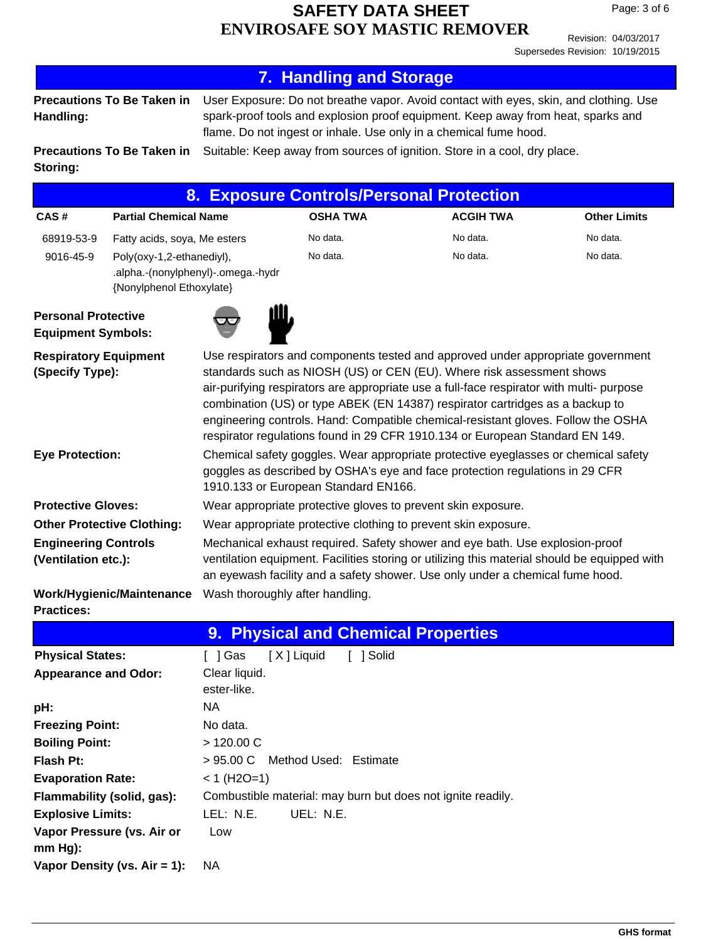Revision: 04/03/2017 Supersedes Revision: 10/19/2015

|                                                         |                                                                                             |                                                                                                                                                                                                                                                                                                                                                                                                                                                                                                            | <b>7. Handling and Storage</b>                              |                                                                           |                     |  |  |  |
|---------------------------------------------------------|---------------------------------------------------------------------------------------------|------------------------------------------------------------------------------------------------------------------------------------------------------------------------------------------------------------------------------------------------------------------------------------------------------------------------------------------------------------------------------------------------------------------------------------------------------------------------------------------------------------|-------------------------------------------------------------|---------------------------------------------------------------------------|---------------------|--|--|--|
| Handling:                                               | <b>Precautions To Be Taken in</b>                                                           | User Exposure: Do not breathe vapor. Avoid contact with eyes, skin, and clothing. Use<br>spark-proof tools and explosion proof equipment. Keep away from heat, sparks and<br>flame. Do not ingest or inhale. Use only in a chemical fume hood.                                                                                                                                                                                                                                                             |                                                             |                                                                           |                     |  |  |  |
| Storing:                                                | <b>Precautions To Be Taken in</b>                                                           |                                                                                                                                                                                                                                                                                                                                                                                                                                                                                                            |                                                             | Suitable: Keep away from sources of ignition. Store in a cool, dry place. |                     |  |  |  |
|                                                         |                                                                                             | 8. .                                                                                                                                                                                                                                                                                                                                                                                                                                                                                                       |                                                             | <b>Exposure Controls/Personal Protection</b>                              |                     |  |  |  |
| CAS#                                                    | <b>Partial Chemical Name</b>                                                                |                                                                                                                                                                                                                                                                                                                                                                                                                                                                                                            | <b>OSHA TWA</b>                                             | <b>ACGIH TWA</b>                                                          | <b>Other Limits</b> |  |  |  |
| 68919-53-9                                              | Fatty acids, soya, Me esters                                                                |                                                                                                                                                                                                                                                                                                                                                                                                                                                                                                            | No data.                                                    | No data.                                                                  | No data.            |  |  |  |
| 9016-45-9                                               | Poly(oxy-1,2-ethanediyl),<br>.alpha.-(nonylphenyl)-.omega.-hydr<br>{Nonylphenol Ethoxylate} |                                                                                                                                                                                                                                                                                                                                                                                                                                                                                                            | No data.                                                    | No data.                                                                  | No data.            |  |  |  |
| <b>Personal Protective</b><br><b>Equipment Symbols:</b> |                                                                                             |                                                                                                                                                                                                                                                                                                                                                                                                                                                                                                            |                                                             |                                                                           |                     |  |  |  |
| <b>Respiratory Equipment</b><br>(Specify Type):         |                                                                                             | Use respirators and components tested and approved under appropriate government<br>standards such as NIOSH (US) or CEN (EU). Where risk assessment shows<br>air-purifying respirators are appropriate use a full-face respirator with multi- purpose<br>combination (US) or type ABEK (EN 14387) respirator cartridges as a backup to<br>engineering controls. Hand: Compatible chemical-resistant gloves. Follow the OSHA<br>respirator regulations found in 29 CFR 1910.134 or European Standard EN 149. |                                                             |                                                                           |                     |  |  |  |
| <b>Eye Protection:</b>                                  |                                                                                             | Chemical safety goggles. Wear appropriate protective eyeglasses or chemical safety<br>goggles as described by OSHA's eye and face protection regulations in 29 CFR<br>1910.133 or European Standard EN166.                                                                                                                                                                                                                                                                                                 |                                                             |                                                                           |                     |  |  |  |
| <b>Protective Gloves:</b>                               |                                                                                             | Wear appropriate protective gloves to prevent skin exposure.                                                                                                                                                                                                                                                                                                                                                                                                                                               |                                                             |                                                                           |                     |  |  |  |
|                                                         | <b>Other Protective Clothing:</b>                                                           | Wear appropriate protective clothing to prevent skin exposure.                                                                                                                                                                                                                                                                                                                                                                                                                                             |                                                             |                                                                           |                     |  |  |  |
| <b>Engineering Controls</b><br>(Ventilation etc.):      |                                                                                             | Mechanical exhaust required. Safety shower and eye bath. Use explosion-proof<br>ventilation equipment. Facilities storing or utilizing this material should be equipped with<br>an eyewash facility and a safety shower. Use only under a chemical fume hood.                                                                                                                                                                                                                                              |                                                             |                                                                           |                     |  |  |  |
| <b>Practices:</b>                                       | Work/Hygienic/Maintenance Wash thoroughly after handling.                                   |                                                                                                                                                                                                                                                                                                                                                                                                                                                                                                            |                                                             |                                                                           |                     |  |  |  |
|                                                         |                                                                                             |                                                                                                                                                                                                                                                                                                                                                                                                                                                                                                            | 9. Physical and Chemical Properties                         |                                                                           |                     |  |  |  |
| <b>Physical States:</b>                                 |                                                                                             | [ ] Gas                                                                                                                                                                                                                                                                                                                                                                                                                                                                                                    | [X] Liquid<br>[ ] Solid                                     |                                                                           |                     |  |  |  |
| <b>Appearance and Odor:</b>                             |                                                                                             | Clear liquid.<br>ester-like.                                                                                                                                                                                                                                                                                                                                                                                                                                                                               |                                                             |                                                                           |                     |  |  |  |
| pH:                                                     |                                                                                             | <b>NA</b>                                                                                                                                                                                                                                                                                                                                                                                                                                                                                                  |                                                             |                                                                           |                     |  |  |  |
| <b>Freezing Point:</b>                                  |                                                                                             | No data.                                                                                                                                                                                                                                                                                                                                                                                                                                                                                                   |                                                             |                                                                           |                     |  |  |  |
| <b>Boiling Point:</b>                                   |                                                                                             | >120.00 C                                                                                                                                                                                                                                                                                                                                                                                                                                                                                                  |                                                             |                                                                           |                     |  |  |  |
| >95.00 C<br><b>Flash Pt:</b><br>Method Used: Estimate   |                                                                                             |                                                                                                                                                                                                                                                                                                                                                                                                                                                                                                            |                                                             |                                                                           |                     |  |  |  |
| $< 1$ (H2O=1)<br><b>Evaporation Rate:</b>               |                                                                                             |                                                                                                                                                                                                                                                                                                                                                                                                                                                                                                            |                                                             |                                                                           |                     |  |  |  |
|                                                         | Flammability (solid, gas):                                                                  |                                                                                                                                                                                                                                                                                                                                                                                                                                                                                                            | Combustible material: may burn but does not ignite readily. |                                                                           |                     |  |  |  |
| <b>Explosive Limits:</b>                                |                                                                                             | LEL: N.E.                                                                                                                                                                                                                                                                                                                                                                                                                                                                                                  | UEL: N.E.                                                   |                                                                           |                     |  |  |  |
|                                                         | Vapor Pressure (vs. Air or                                                                  | Low                                                                                                                                                                                                                                                                                                                                                                                                                                                                                                        |                                                             |                                                                           |                     |  |  |  |

**mm Hg):**

**Vapor Density (vs. Air = 1):** NA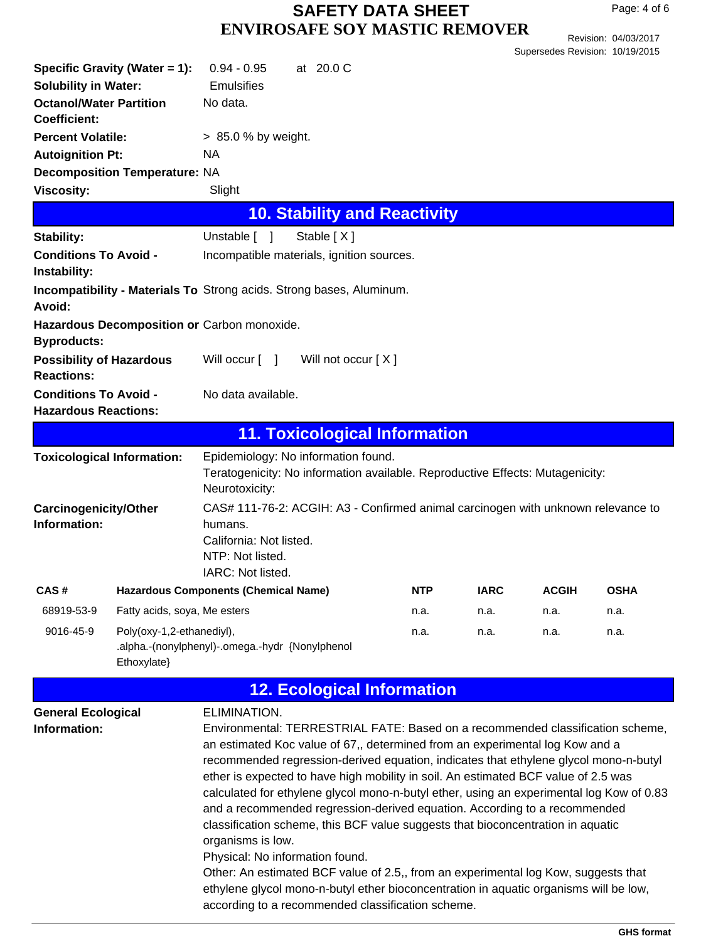Revision: 04/03/2017 Supersedes Revision: 10/19/2015

| Specific Gravity (Water = 1):<br><b>Solubility in Water:</b><br><b>Octanol/Water Partition</b><br>Coefficient: |                                                                                             | $0.94 - 0.95$<br><b>Emulsifies</b><br>No data.                                                                                                                                                                                                                                                                                                                                                                                                                                                                                                                                                                                                                                                                                         |  | at 20.0 C  |                                      |            |             |              |                                                                                                                                                                            |
|----------------------------------------------------------------------------------------------------------------|---------------------------------------------------------------------------------------------|----------------------------------------------------------------------------------------------------------------------------------------------------------------------------------------------------------------------------------------------------------------------------------------------------------------------------------------------------------------------------------------------------------------------------------------------------------------------------------------------------------------------------------------------------------------------------------------------------------------------------------------------------------------------------------------------------------------------------------------|--|------------|--------------------------------------|------------|-------------|--------------|----------------------------------------------------------------------------------------------------------------------------------------------------------------------------|
| <b>Percent Volatile:</b>                                                                                       |                                                                                             | $> 85.0 %$ by weight.                                                                                                                                                                                                                                                                                                                                                                                                                                                                                                                                                                                                                                                                                                                  |  |            |                                      |            |             |              |                                                                                                                                                                            |
| <b>Autoignition Pt:</b>                                                                                        |                                                                                             | NA.                                                                                                                                                                                                                                                                                                                                                                                                                                                                                                                                                                                                                                                                                                                                    |  |            |                                      |            |             |              |                                                                                                                                                                            |
|                                                                                                                | Decomposition Temperature: NA                                                               |                                                                                                                                                                                                                                                                                                                                                                                                                                                                                                                                                                                                                                                                                                                                        |  |            |                                      |            |             |              |                                                                                                                                                                            |
| <b>Viscosity:</b>                                                                                              |                                                                                             | Slight                                                                                                                                                                                                                                                                                                                                                                                                                                                                                                                                                                                                                                                                                                                                 |  |            |                                      |            |             |              |                                                                                                                                                                            |
|                                                                                                                |                                                                                             |                                                                                                                                                                                                                                                                                                                                                                                                                                                                                                                                                                                                                                                                                                                                        |  |            | <b>10. Stability and Reactivity</b>  |            |             |              |                                                                                                                                                                            |
| Stability:                                                                                                     |                                                                                             | Unstable [ ]                                                                                                                                                                                                                                                                                                                                                                                                                                                                                                                                                                                                                                                                                                                           |  | Stable [X] |                                      |            |             |              |                                                                                                                                                                            |
| <b>Conditions To Avoid -</b><br>Instability:                                                                   |                                                                                             | Incompatible materials, ignition sources.                                                                                                                                                                                                                                                                                                                                                                                                                                                                                                                                                                                                                                                                                              |  |            |                                      |            |             |              |                                                                                                                                                                            |
| Avoid:                                                                                                         | <b>Incompatibility - Materials To Strong acids. Strong bases, Aluminum.</b>                 |                                                                                                                                                                                                                                                                                                                                                                                                                                                                                                                                                                                                                                                                                                                                        |  |            |                                      |            |             |              |                                                                                                                                                                            |
| <b>Byproducts:</b>                                                                                             | Hazardous Decomposition or Carbon monoxide.                                                 |                                                                                                                                                                                                                                                                                                                                                                                                                                                                                                                                                                                                                                                                                                                                        |  |            |                                      |            |             |              |                                                                                                                                                                            |
| <b>Possibility of Hazardous</b><br><b>Reactions:</b>                                                           |                                                                                             | Will occur $\lceil \quad \rceil$                                                                                                                                                                                                                                                                                                                                                                                                                                                                                                                                                                                                                                                                                                       |  |            | Will not occur [ X ]                 |            |             |              |                                                                                                                                                                            |
| <b>Conditions To Avoid -</b><br><b>Hazardous Reactions:</b>                                                    |                                                                                             | No data available.                                                                                                                                                                                                                                                                                                                                                                                                                                                                                                                                                                                                                                                                                                                     |  |            |                                      |            |             |              |                                                                                                                                                                            |
|                                                                                                                |                                                                                             |                                                                                                                                                                                                                                                                                                                                                                                                                                                                                                                                                                                                                                                                                                                                        |  |            | <b>11. Toxicological Information</b> |            |             |              |                                                                                                                                                                            |
| <b>Toxicological Information:</b>                                                                              |                                                                                             | Epidemiology: No information found.<br>Teratogenicity: No information available. Reproductive Effects: Mutagenicity:<br>Neurotoxicity:                                                                                                                                                                                                                                                                                                                                                                                                                                                                                                                                                                                                 |  |            |                                      |            |             |              |                                                                                                                                                                            |
| Carcinogenicity/Other<br>Information:                                                                          |                                                                                             | CAS# 111-76-2: ACGIH: A3 - Confirmed animal carcinogen with unknown relevance to<br>humans.<br>California: Not listed.<br>NTP: Not listed.<br>IARC: Not listed.                                                                                                                                                                                                                                                                                                                                                                                                                                                                                                                                                                        |  |            |                                      |            |             |              |                                                                                                                                                                            |
| CAS#                                                                                                           | <b>Hazardous Components (Chemical Name)</b>                                                 |                                                                                                                                                                                                                                                                                                                                                                                                                                                                                                                                                                                                                                                                                                                                        |  |            |                                      | <b>NTP</b> | <b>IARC</b> | <b>ACGIH</b> | <b>OSHA</b>                                                                                                                                                                |
| 68919-53-9                                                                                                     | Fatty acids, soya, Me esters                                                                |                                                                                                                                                                                                                                                                                                                                                                                                                                                                                                                                                                                                                                                                                                                                        |  |            |                                      | n.a.       | n.a.        | n.a.         | n.a.                                                                                                                                                                       |
| 9016-45-9                                                                                                      | Poly(oxy-1,2-ethanediyl),<br>.alpha.-(nonylphenyl)-.omega.-hydr {Nonylphenol<br>Ethoxylate} |                                                                                                                                                                                                                                                                                                                                                                                                                                                                                                                                                                                                                                                                                                                                        |  |            |                                      | n.a.       | n.a.        | n.a.         | n.a.                                                                                                                                                                       |
|                                                                                                                |                                                                                             |                                                                                                                                                                                                                                                                                                                                                                                                                                                                                                                                                                                                                                                                                                                                        |  |            | <b>12. Ecological Information</b>    |            |             |              |                                                                                                                                                                            |
| <b>General Ecological</b><br>Information:                                                                      |                                                                                             | ELIMINATION.<br>an estimated Koc value of 67,, determined from an experimental log Kow and a<br>recommended regression-derived equation, indicates that ethylene glycol mono-n-butyl<br>ether is expected to have high mobility in soil. An estimated BCF value of 2.5 was<br>and a recommended regression-derived equation. According to a recommended<br>classification scheme, this BCF value suggests that bioconcentration in aquatic<br>organisms is low.<br>Physical: No information found.<br>Other: An estimated BCF value of 2.5,, from an experimental log Kow, suggests that<br>ethylene glycol mono-n-butyl ether bioconcentration in aquatic organisms will be low,<br>according to a recommended classification scheme. |  |            |                                      |            |             |              | Environmental: TERRESTRIAL FATE: Based on a recommended classification scheme,<br>calculated for ethylene glycol mono-n-butyl ether, using an experimental log Kow of 0.83 |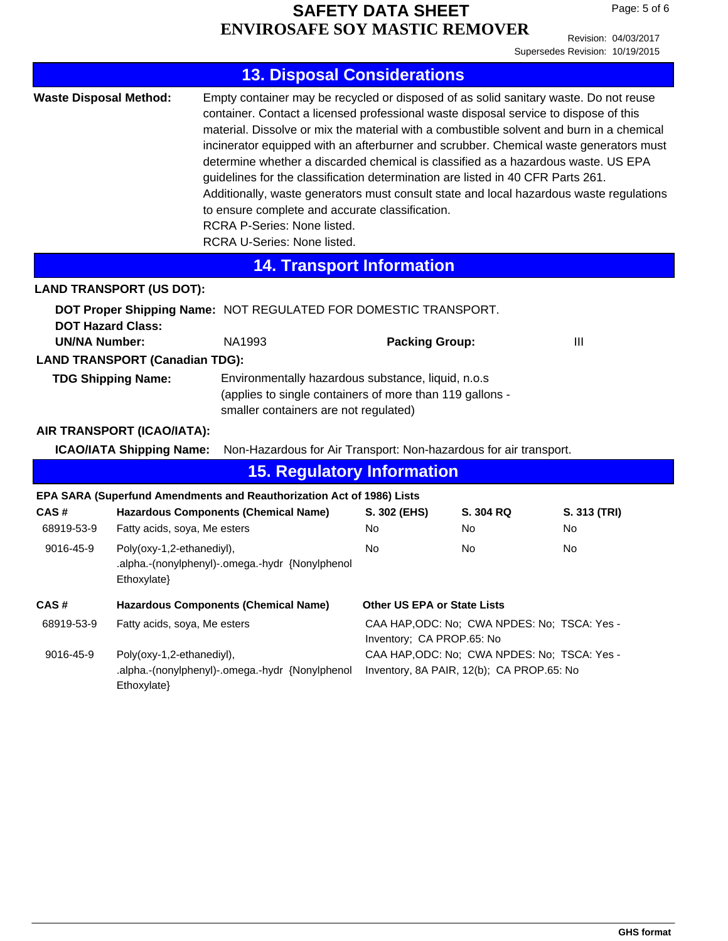Revision: 04/03/2017 Supersedes Revision: 10/19/2015

|                                                                                                                                                                                                                                                                                                                                                                                                                                                                                                                                                                                                                                                                                                                                                                                               |                                                                                                                                                                                          | <b>13. Disposal Considerations</b>                                    |                                                                           |                  |                     |  |  |
|-----------------------------------------------------------------------------------------------------------------------------------------------------------------------------------------------------------------------------------------------------------------------------------------------------------------------------------------------------------------------------------------------------------------------------------------------------------------------------------------------------------------------------------------------------------------------------------------------------------------------------------------------------------------------------------------------------------------------------------------------------------------------------------------------|------------------------------------------------------------------------------------------------------------------------------------------------------------------------------------------|-----------------------------------------------------------------------|---------------------------------------------------------------------------|------------------|---------------------|--|--|
| <b>Waste Disposal Method:</b><br>Empty container may be recycled or disposed of as solid sanitary waste. Do not reuse<br>container. Contact a licensed professional waste disposal service to dispose of this<br>material. Dissolve or mix the material with a combustible solvent and burn in a chemical<br>incinerator equipped with an afterburner and scrubber. Chemical waste generators must<br>determine whether a discarded chemical is classified as a hazardous waste. US EPA<br>guidelines for the classification determination are listed in 40 CFR Parts 261.<br>Additionally, waste generators must consult state and local hazardous waste regulations<br>to ensure complete and accurate classification.<br><b>RCRA P-Series: None listed.</b><br>RCRA U-Series: None listed. |                                                                                                                                                                                          |                                                                       |                                                                           |                  |                     |  |  |
|                                                                                                                                                                                                                                                                                                                                                                                                                                                                                                                                                                                                                                                                                                                                                                                               |                                                                                                                                                                                          | <b>14. Transport Information</b>                                      |                                                                           |                  |                     |  |  |
|                                                                                                                                                                                                                                                                                                                                                                                                                                                                                                                                                                                                                                                                                                                                                                                               | <b>LAND TRANSPORT (US DOT):</b>                                                                                                                                                          |                                                                       |                                                                           |                  |                     |  |  |
| DOT Proper Shipping Name: NOT REGULATED FOR DOMESTIC TRANSPORT.<br><b>DOT Hazard Class:</b><br>NA1993<br><b>UN/NA Number:</b>                                                                                                                                                                                                                                                                                                                                                                                                                                                                                                                                                                                                                                                                 |                                                                                                                                                                                          |                                                                       | <b>Packing Group:</b>                                                     | $\mathbf{III}$   |                     |  |  |
| <b>LAND TRANSPORT (Canadian TDG):</b><br><b>TDG Shipping Name:</b><br>Environmentally hazardous substance, liquid, n.o.s<br>(applies to single containers of more than 119 gallons -<br>smaller containers are not regulated)                                                                                                                                                                                                                                                                                                                                                                                                                                                                                                                                                                 |                                                                                                                                                                                          |                                                                       |                                                                           |                  |                     |  |  |
|                                                                                                                                                                                                                                                                                                                                                                                                                                                                                                                                                                                                                                                                                                                                                                                               | AIR TRANSPORT (ICAO/IATA):<br><b>ICAO/IATA Shipping Name:</b>                                                                                                                            | Non-Hazardous for Air Transport: Non-hazardous for air transport.     |                                                                           |                  |                     |  |  |
|                                                                                                                                                                                                                                                                                                                                                                                                                                                                                                                                                                                                                                                                                                                                                                                               |                                                                                                                                                                                          | <b>15. Regulatory Information</b>                                     |                                                                           |                  |                     |  |  |
|                                                                                                                                                                                                                                                                                                                                                                                                                                                                                                                                                                                                                                                                                                                                                                                               |                                                                                                                                                                                          | EPA SARA (Superfund Amendments and Reauthorization Act of 1986) Lists |                                                                           |                  |                     |  |  |
| CAS#<br>68919-53-9                                                                                                                                                                                                                                                                                                                                                                                                                                                                                                                                                                                                                                                                                                                                                                            | Fatty acids, soya, Me esters                                                                                                                                                             | <b>Hazardous Components (Chemical Name)</b>                           | S. 302 (EHS)<br>No                                                        | S. 304 RQ<br>No. | S. 313 (TRI)<br>No. |  |  |
| 9016-45-9                                                                                                                                                                                                                                                                                                                                                                                                                                                                                                                                                                                                                                                                                                                                                                                     | Poly(oxy-1,2-ethanediyl),<br>Ethoxylate}                                                                                                                                                 | .alpha.-(nonylphenyl)-.omega.-hydr {Nonylphenol                       | <b>No</b>                                                                 | No.              | No                  |  |  |
| CAS#                                                                                                                                                                                                                                                                                                                                                                                                                                                                                                                                                                                                                                                                                                                                                                                          | <b>Hazardous Components (Chemical Name)</b>                                                                                                                                              |                                                                       | <b>Other US EPA or State Lists</b>                                        |                  |                     |  |  |
| 68919-53-9                                                                                                                                                                                                                                                                                                                                                                                                                                                                                                                                                                                                                                                                                                                                                                                    | Fatty acids, soya, Me esters                                                                                                                                                             |                                                                       | CAA HAP, ODC: No; CWA NPDES: No; TSCA: Yes -<br>Inventory; CA PROP.65: No |                  |                     |  |  |
| 9016-45-9                                                                                                                                                                                                                                                                                                                                                                                                                                                                                                                                                                                                                                                                                                                                                                                     | Poly(oxy-1,2-ethanediyl),<br>CAA HAP, ODC: No; CWA NPDES: No; TSCA: Yes -<br>.alpha.-(nonylphenyl)-.omega.-hydr {Nonylphenol<br>Inventory, 8A PAIR, 12(b); CA PROP.65: No<br>Ethoxylate} |                                                                       |                                                                           |                  |                     |  |  |
|                                                                                                                                                                                                                                                                                                                                                                                                                                                                                                                                                                                                                                                                                                                                                                                               |                                                                                                                                                                                          |                                                                       |                                                                           |                  |                     |  |  |